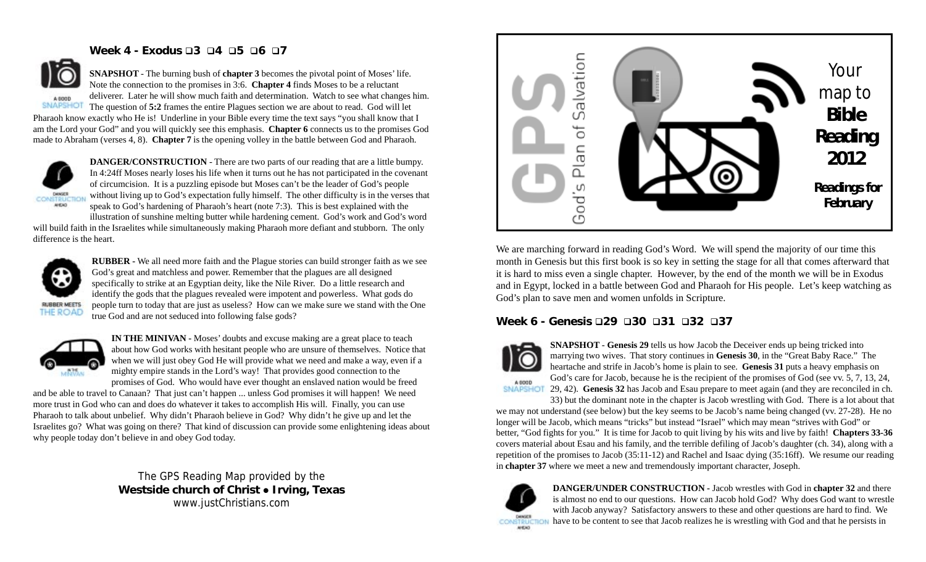## **Week 4 - Exodus 3 4 5 6 7**



**SNAPSHOT** - The burning bush of **chapter 3** becomes the pivotal point of Moses' life. Note the connection to the promises in 3:6. **Chapter 4** finds Moses to be a reluctant deliverer. Later he will show much faith and determination. Watch to see what changes him. A 6000 **SNAPSHOT** The question of **5:2** frames the entire Plagues section we are about to read. God will let

Pharaoh know exactly who He is! Underline in your Bible every time the text says "you shall know that I am the Lord your God" and you will quickly see this emphasis. **Chapter 6** connects us to the promises God made to Abraham (verses 4, 8). **Chapter 7** is the opening volley in the battle between God and Pharaoh.



**DANGER/CONSTRUCTION** - There are two parts of our reading that are a little bumpy. In 4:24ff Moses nearly loses his life when it turns out he has not participated in the covenant of circumcision. It is a puzzling episode but Moses can't be the leader of God's people without living up to God's expectation fully himself. The other difficulty is in the verses that speak to God's hardening of Pharaoh's heart (note 7:3). This is best explained with the

illustration of sunshine melting butter while hardening cement. God's work and God's word will build faith in the Israelites while simultaneously making Pharaoh more defiant and stubborn. The only difference is the heart.



**RUBBER MEETS** THE ROAD **RUBBER -** We all need more faith and the Plague stories can build stronger faith as we see God's great and matchless and power. Remember that the plagues are all designed specifically to strike at an Egyptian deity, like the Nile River. Do a little research and identify the gods that the plagues revealed were impotent and powerless. What gods do people turn to today that are just as useless? How can we make sure we stand with the One true God and are not seduced into following false gods?



**IN THE MINIVAN -** Moses' doubts and excuse making are a great place to teach about how God works with hesitant people who are unsure of themselves. Notice that when we will just obey God He will provide what we need and make a way, even if a mighty empire stands in the Lord's way! That provides good connection to the promises of God. Who would have ever thought an enslaved nation would be freed

and be able to travel to Canaan? That just can't happen ... unless God promises it will happen! We need more trust in God who can and does do whatever it takes to accomplish His will. Finally, you can use Pharaoh to talk about unbelief. Why didn't Pharaoh believe in God? Why didn't he give up and let the Israelites go? What was going on there? That kind of discussion can provide some enlightening ideas about why people today don't believe in and obey God today.

> The GPS Reading Map provided by the **Westside church of Christ** z **Irving, Texas** www.justChristians.com



We are marching forward in reading God's Word. We will spend the majority of our time this month in Genesis but this first book is so key in setting the stage for all that comes afterward that it is hard to miss even a single chapter. However, by the end of the month we will be in Exodus and in Egypt, locked in a battle between God and Pharaoh for His people. Let's keep watching as God's plan to save men and women unfolds in Scripture.

## **Week 6 - Genesis 29 30 31 32 37**



**SNAPSHOT** - **Genesis 29** tells us how Jacob the Deceiver ends up being tricked into marrying two wives. That story continues in **Genesis 30**, in the "Great Baby Race." The heartache and strife in Jacob's home is plain to see. **Genesis 31** puts a heavy emphasis on God's care for Jacob, because he is the recipient of the promises of God (see vv. 5, 7, 13, 24, 29, 42). **Genesis 32** has Jacob and Esau prepare to meet again (and they are reconciled in ch.

33) but the dominant note in the chapter is Jacob wrestling with God. There is a lot about that we may not understand (see below) but the key seems to be Jacob's name being changed (vv. 27-28). He no longer will be Jacob, which means "tricks" but instead "Israel" which may mean "strives with God" or better, "God fights for you." It is time for Jacob to quit living by his wits and live by faith! **Chapters 33-36** covers material about Esau and his family, and the terrible defiling of Jacob's daughter (ch. 34), along with a repetition of the promises to Jacob (35:11-12) and Rachel and Isaac dying (35:16ff). We resume our reading in **chapter 37** where we meet a new and tremendously important character, Joseph.



**DANGER/UNDER CONSTRUCTION -** Jacob wrestles with God in **chapter 32** and there is almost no end to our questions. How can Jacob hold God? Why does God want to wrestle with Jacob anyway? Satisfactory answers to these and other questions are hard to find. We have to be content to see that Jacob realizes he is wrestling with God and that he persists in